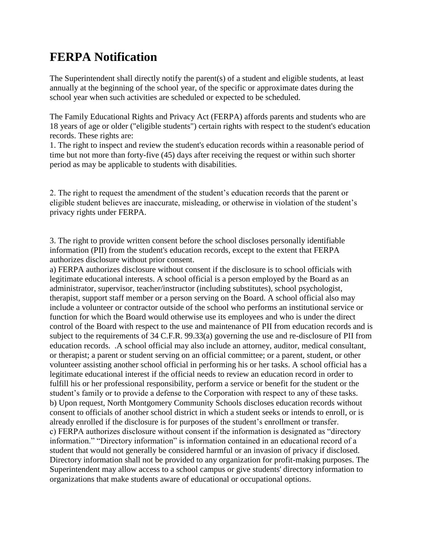## **FERPA Notification**

The Superintendent shall directly notify the parent(s) of a student and eligible students, at least annually at the beginning of the school year, of the specific or approximate dates during the school year when such activities are scheduled or expected to be scheduled.

The Family Educational Rights and Privacy Act (FERPA) affords parents and students who are 18 years of age or older ("eligible students") certain rights with respect to the student's education records. These rights are:

1. The right to inspect and review the student's education records within a reasonable period of time but not more than forty-five (45) days after receiving the request or within such shorter period as may be applicable to students with disabilities.

2. The right to request the amendment of the student's education records that the parent or eligible student believes are inaccurate, misleading, or otherwise in violation of the student's privacy rights under FERPA.

3. The right to provide written consent before the school discloses personally identifiable information (PII) from the student's education records, except to the extent that FERPA authorizes disclosure without prior consent.

a) FERPA authorizes disclosure without consent if the disclosure is to school officials with legitimate educational interests. A school official is a person employed by the Board as an administrator, supervisor, teacher/instructor (including substitutes), school psychologist, therapist, support staff member or a person serving on the Board. A school official also may include a volunteer or contractor outside of the school who performs an institutional service or function for which the Board would otherwise use its employees and who is under the direct control of the Board with respect to the use and maintenance of PII from education records and is subject to the requirements of 34 C.F.R. 99.33(a) governing the use and re-disclosure of PII from education records. .A school official may also include an attorney, auditor, medical consultant, or therapist; a parent or student serving on an official committee; or a parent, student, or other volunteer assisting another school official in performing his or her tasks. A school official has a legitimate educational interest if the official needs to review an education record in order to fulfill his or her professional responsibility, perform a service or benefit for the student or the student's family or to provide a defense to the Corporation with respect to any of these tasks. b) Upon request, North Montgomery Community Schools discloses education records without consent to officials of another school district in which a student seeks or intends to enroll, or is already enrolled if the disclosure is for purposes of the student's enrollment or transfer. c) FERPA authorizes disclosure without consent if the information is designated as "directory information." "Directory information" is information contained in an educational record of a student that would not generally be considered harmful or an invasion of privacy if disclosed. Directory information shall not be provided to any organization for profit-making purposes. The Superintendent may allow access to a school campus or give students' directory information to organizations that make students aware of educational or occupational options.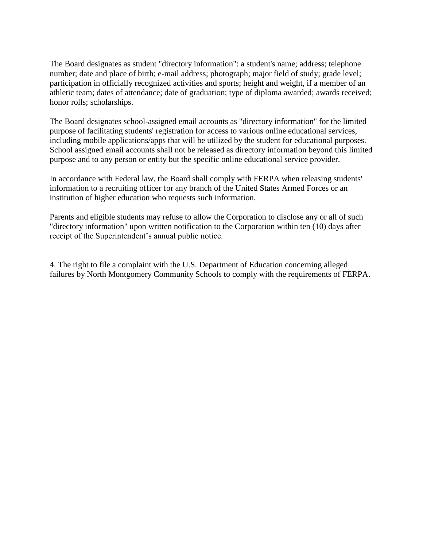The Board designates as student "directory information": a student's name; address; telephone number; date and place of birth; e-mail address; photograph; major field of study; grade level; participation in officially recognized activities and sports; height and weight, if a member of an athletic team; dates of attendance; date of graduation; type of diploma awarded; awards received; honor rolls; scholarships.

The Board designates school-assigned email accounts as "directory information" for the limited purpose of facilitating students' registration for access to various online educational services, including mobile applications/apps that will be utilized by the student for educational purposes. School assigned email accounts shall not be released as directory information beyond this limited purpose and to any person or entity but the specific online educational service provider.

In accordance with Federal law, the Board shall comply with FERPA when releasing students' information to a recruiting officer for any branch of the United States Armed Forces or an institution of higher education who requests such information.

Parents and eligible students may refuse to allow the Corporation to disclose any or all of such "directory information" upon written notification to the Corporation within ten (10) days after receipt of the Superintendent's annual public notice.

4. The right to file a complaint with the U.S. Department of Education concerning alleged failures by North Montgomery Community Schools to comply with the requirements of FERPA.